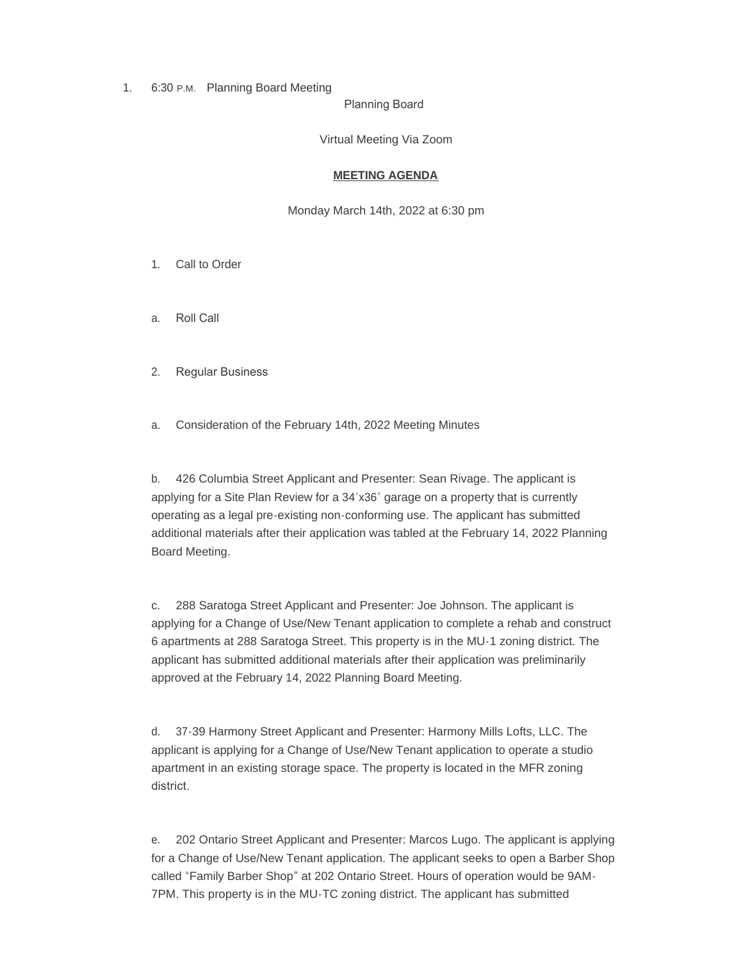1. 6:30 P.M. Planning Board Meeting

Planning Board

Virtual Meeting Via Zoom

## **MEETING AGENDA**

Monday March 14th, 2022 at 6:30 pm

- 1. Call to Order
- a. Roll Call
- 2. Regular Business

a. Consideration of the February 14th, 2022 Meeting Minutes

b. 426 Columbia Street Applicant and Presenter: Sean Rivage. The applicant is applying for a Site Plan Review for a 34'x36' garage on a property that is currently operating as a legal pre-existing non-conforming use. The applicant has submitted additional materials after their application was tabled at the February 14, 2022 Planning Board Meeting.

c. 288 Saratoga Street Applicant and Presenter: Joe Johnson. The applicant is applying for a Change of Use/New Tenant application to complete a rehab and construct 6 apartments at 288 Saratoga Street. This property is in the MU-1 zoning district. The applicant has submitted additional materials after their application was preliminarily approved at the February 14, 2022 Planning Board Meeting.

d. 37-39 Harmony Street Applicant and Presenter: Harmony Mills Lofts, LLC. The applicant is applying for a Change of Use/New Tenant application to operate a studio apartment in an existing storage space. The property is located in the MFR zoning district.

e. 202 Ontario Street Applicant and Presenter: Marcos Lugo. The applicant is applying for a Change of Use/New Tenant application. The applicant seeks to open a Barber Shop called "Family Barber Shop" at 202 Ontario Street. Hours of operation would be 9AM-7PM. This property is in the MU-TC zoning district. The applicant has submitted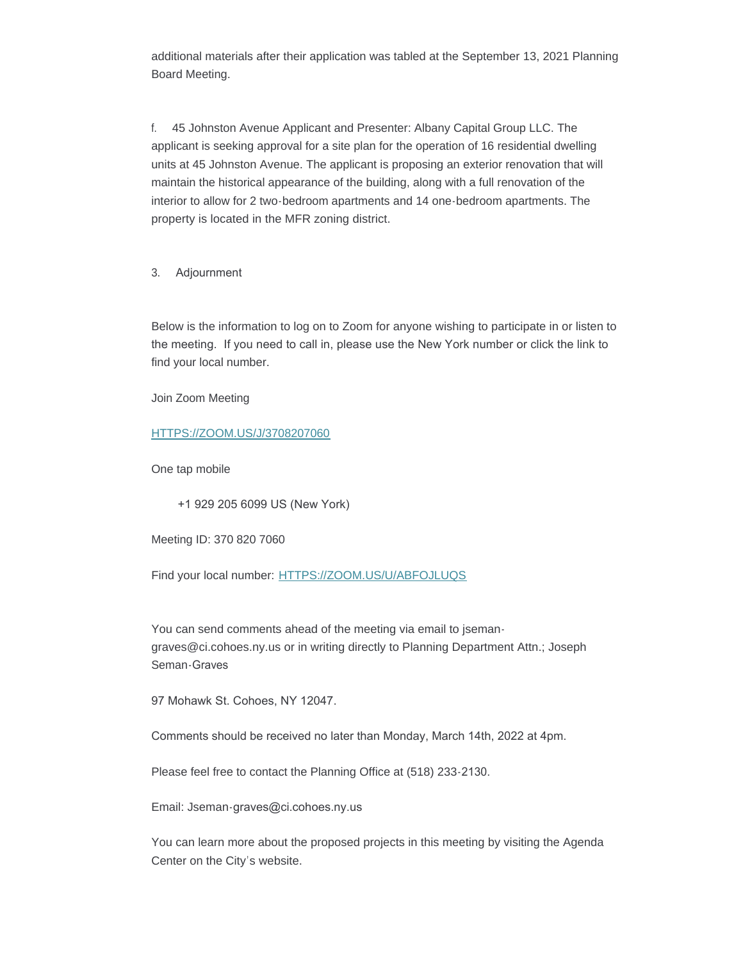additional materials after their application was tabled at the September 13, 2021 Planning Board Meeting.

f. 45 Johnston Avenue Applicant and Presenter: Albany Capital Group LLC. The applicant is seeking approval for a site plan for the operation of 16 residential dwelling units at 45 Johnston Avenue. The applicant is proposing an exterior renovation that will maintain the historical appearance of the building, along with a full renovation of the interior to allow for 2 two-bedroom apartments and 14 one-bedroom apartments. The property is located in the MFR zoning district.

3. Adjournment

Below is the information to log on to Zoom for anyone wishing to participate in or listen to the meeting. If you need to call in, please use the New York number or click the link to find your local number.

Join Zoom Meeting

## [HTTPS://ZOOM.US/J/3708207060](https://zoom.us/j/3708207060)

One tap mobile

+1 929 205 6099 US (New York)

Meeting ID: 370 820 7060

Find your local number: [HTTPS://ZOOM.US/U/ABFOJLUQS](https://zoom.us/u/abFoJLUQs)

You can send comments ahead of the meeting via email to isemangraves@ci.cohoes.ny.us or in writing directly to Planning Department Attn.; Joseph Seman-Graves

97 Mohawk St. Cohoes, NY 12047.

Comments should be received no later than Monday, March 14th, 2022 at 4pm.

Please feel free to contact the Planning Office at (518) 233-2130.

Email: Jseman-graves@ci.cohoes.ny.us

You can learn more about the proposed projects in this meeting by visiting the Agenda Center on the City's website.